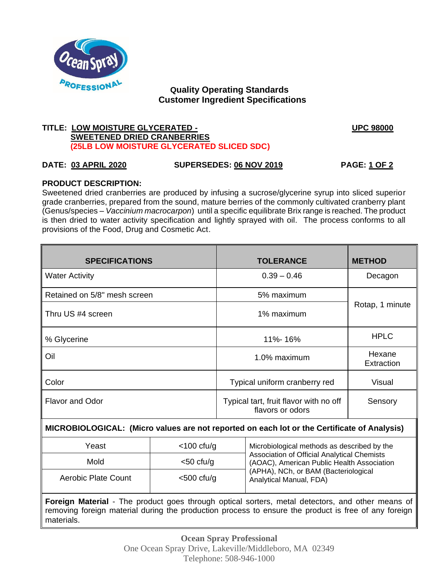

# **Quality Operating Standards Customer Ingredient Specifications**

# **TITLE: LOW MOISTURE GLYCERATED - UPC 98000 SWEETENED DRIED CRANBERRIES (25LB LOW MOISTURE GLYCERATED SLICED SDC)**

# **DATE: 03 APRIL 2020 SUPERSEDES: 06 NOV 2019 PAGE: 1 OF 2**

# **PRODUCT DESCRIPTION:**

Sweetened dried cranberries are produced by infusing a sucrose/glycerine syrup into sliced superior grade cranberries, prepared from the sound, mature berries of the commonly cultivated cranberry plant (Genus/species – *Vaccinium macrocarpon*) until a specific equilibrate Brix range is reached. The product is then dried to water activity specification and lightly sprayed with oil. The process conforms to all provisions of the Food, Drug and Cosmetic Act.

| <b>SPECIFICATIONS</b>                                                                                                                                                                                                         |               | <b>TOLERANCE</b>                                           |                                                                                                                                                                                                             | <b>METHOD</b>        |
|-------------------------------------------------------------------------------------------------------------------------------------------------------------------------------------------------------------------------------|---------------|------------------------------------------------------------|-------------------------------------------------------------------------------------------------------------------------------------------------------------------------------------------------------------|----------------------|
| <b>Water Activity</b>                                                                                                                                                                                                         |               | $0.39 - 0.46$                                              |                                                                                                                                                                                                             | Decagon              |
| Retained on 5/8" mesh screen                                                                                                                                                                                                  |               | 5% maximum                                                 |                                                                                                                                                                                                             | Rotap, 1 minute      |
| Thru US #4 screen                                                                                                                                                                                                             |               | 1% maximum                                                 |                                                                                                                                                                                                             |                      |
| % Glycerine                                                                                                                                                                                                                   |               | 11%-16%                                                    |                                                                                                                                                                                                             | <b>HPLC</b>          |
| Oil                                                                                                                                                                                                                           |               | 1.0% maximum                                               |                                                                                                                                                                                                             | Hexane<br>Extraction |
| Color                                                                                                                                                                                                                         |               | Typical uniform cranberry red                              |                                                                                                                                                                                                             | Visual               |
| <b>Flavor and Odor</b>                                                                                                                                                                                                        |               | Typical tart, fruit flavor with no off<br>flavors or odors |                                                                                                                                                                                                             | Sensory              |
| MICROBIOLOGICAL: (Micro values are not reported on each lot or the Certificate of Analysis)                                                                                                                                   |               |                                                            |                                                                                                                                                                                                             |                      |
| Yeast                                                                                                                                                                                                                         | $<$ 100 cfu/g |                                                            | Microbiological methods as described by the<br>Association of Official Analytical Chemists<br>(AOAC), American Public Health Association<br>(APHA), NCh, or BAM (Bacteriological<br>Analytical Manual, FDA) |                      |
| Mold                                                                                                                                                                                                                          | $<$ 50 cfu/g  |                                                            |                                                                                                                                                                                                             |                      |
| Aerobic Plate Count                                                                                                                                                                                                           | $<$ 500 cfu/g |                                                            |                                                                                                                                                                                                             |                      |
| <b>Foreign Material</b> - The product goes through optical sorters, metal detectors, and other means of<br>removing foreign material during the production process to ensure the product is free of any foreign<br>materials. |               |                                                            |                                                                                                                                                                                                             |                      |